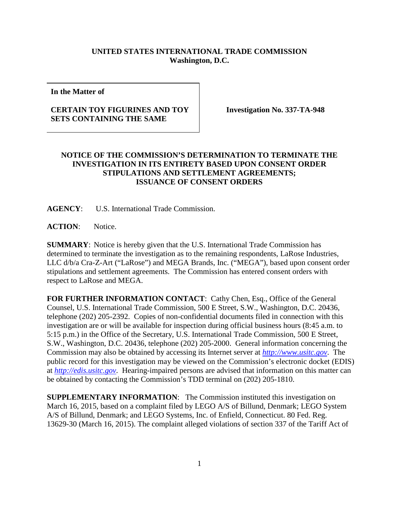## **UNITED STATES INTERNATIONAL TRADE COMMISSION Washington, D.C.**

**In the Matter of**

## **CERTAIN TOY FIGURINES AND TOY SETS CONTAINING THE SAME**

**Investigation No. 337-TA-948**

## **NOTICE OF THE COMMISSION'S DETERMINATION TO TERMINATE THE INVESTIGATION IN ITS ENTIRETY BASED UPON CONSENT ORDER STIPULATIONS AND SETTLEMENT AGREEMENTS; ISSUANCE OF CONSENT ORDERS**

**AGENCY**: U.S. International Trade Commission.

**ACTION**: Notice.

**SUMMARY**: Notice is hereby given that the U.S. International Trade Commission has determined to terminate the investigation as to the remaining respondents, LaRose Industries, LLC d/b/a Cra-Z-Art ("LaRose") and MEGA Brands, Inc. ("MEGA"), based upon consent order stipulations and settlement agreements. The Commission has entered consent orders with respect to LaRose and MEGA.

FOR FURTHER INFORMATION CONTACT: Cathy Chen, Esq., Office of the General Counsel, U.S. International Trade Commission, 500 E Street, S.W., Washington, D.C. 20436, telephone (202) 205-2392. Copies of non-confidential documents filed in connection with this investigation are or will be available for inspection during official business hours (8:45 a.m. to 5:15 p.m.) in the Office of the Secretary, U.S. International Trade Commission, 500 E Street, S.W., Washington, D.C. 20436, telephone (202) 205-2000. General information concerning the Commission may also be obtained by accessing its Internet server at *[http://www.usitc.gov](http://www.usitc.gov/)*. The public record for this investigation may be viewed on the Commission's electronic docket (EDIS) at *[http://edis.usitc.gov](http://edis.usitc.gov/)*. Hearing-impaired persons are advised that information on this matter can be obtained by contacting the Commission's TDD terminal on (202) 205-1810.

**SUPPLEMENTARY INFORMATION:** The Commission instituted this investigation on March 16, 2015, based on a complaint filed by LEGO A/S of Billund, Denmark; LEGO System A/S of Billund, Denmark; and LEGO Systems, Inc. of Enfield, Connecticut. 80 Fed. Reg. 13629-30 (March 16, 2015). The complaint alleged violations of section 337 of the Tariff Act of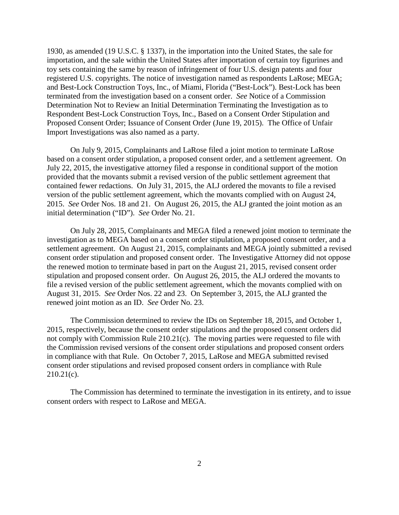1930, as amended (19 U.S.C. § 1337), in the importation into the United States, the sale for importation, and the sale within the United States after importation of certain toy figurines and toy sets containing the same by reason of infringement of four U.S. design patents and four registered U.S. copyrights. The notice of investigation named as respondents LaRose; MEGA; and Best-Lock Construction Toys, Inc., of Miami, Florida ("Best-Lock"). Best-Lock has been terminated from the investigation based on a consent order. *See* Notice of a Commission Determination Not to Review an Initial Determination Terminating the Investigation as to Respondent Best-Lock Construction Toys, Inc., Based on a Consent Order Stipulation and Proposed Consent Order; Issuance of Consent Order (June 19, 2015). The Office of Unfair Import Investigations was also named as a party.

On July 9, 2015, Complainants and LaRose filed a joint motion to terminate LaRose based on a consent order stipulation, a proposed consent order, and a settlement agreement. On July 22, 2015, the investigative attorney filed a response in conditional support of the motion provided that the movants submit a revised version of the public settlement agreement that contained fewer redactions. On July 31, 2015, the ALJ ordered the movants to file a revised version of the public settlement agreement, which the movants complied with on August 24, 2015. *See* Order Nos. 18 and 21. On August 26, 2015, the ALJ granted the joint motion as an initial determination ("ID"). *See* Order No. 21.

On July 28, 2015, Complainants and MEGA filed a renewed joint motion to terminate the investigation as to MEGA based on a consent order stipulation, a proposed consent order, and a settlement agreement. On August 21, 2015, complainants and MEGA jointly submitted a revised consent order stipulation and proposed consent order. The Investigative Attorney did not oppose the renewed motion to terminate based in part on the August 21, 2015, revised consent order stipulation and proposed consent order. On August 26, 2015, the ALJ ordered the movants to file a revised version of the public settlement agreement, which the movants complied with on August 31, 2015. *See* Order Nos. 22 and 23. On September 3, 2015, the ALJ granted the renewed joint motion as an ID. *See* Order No. 23.

The Commission determined to review the IDs on September 18, 2015, and October 1, 2015, respectively, because the consent order stipulations and the proposed consent orders did not comply with Commission Rule 210.21(c). The moving parties were requested to file with the Commission revised versions of the consent order stipulations and proposed consent orders in compliance with that Rule. On October 7, 2015, LaRose and MEGA submitted revised consent order stipulations and revised proposed consent orders in compliance with Rule 210.21(c).

The Commission has determined to terminate the investigation in its entirety, and to issue consent orders with respect to LaRose and MEGA.